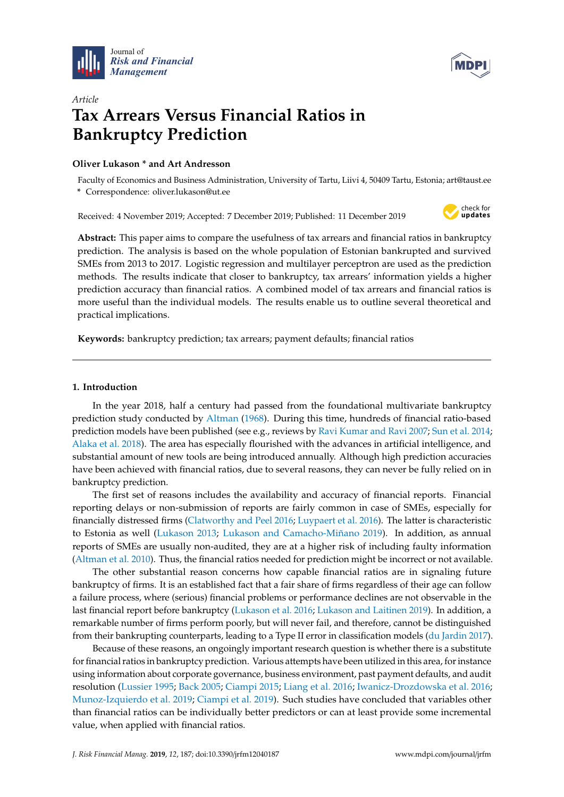



# *Article* **Tax Arrears Versus Financial Ratios in Bankruptcy Prediction**

# **Oliver Lukason \* and Art Andresson**

Faculty of Economics and Business Administration, University of Tartu, Liivi 4, 50409 Tartu, Estonia; art@taust.ee **\*** Correspondence: oliver.lukason@ut.ee

Received: 4 November 2019; Accepted: 7 December 2019; Published: 11 December 2019



**Abstract:** This paper aims to compare the usefulness of tax arrears and financial ratios in bankruptcy prediction. The analysis is based on the whole population of Estonian bankrupted and survived SMEs from 2013 to 2017. Logistic regression and multilayer perceptron are used as the prediction methods. The results indicate that closer to bankruptcy, tax arrears' information yields a higher prediction accuracy than financial ratios. A combined model of tax arrears and financial ratios is more useful than the individual models. The results enable us to outline several theoretical and practical implications.

**Keywords:** bankruptcy prediction; tax arrears; payment defaults; financial ratios

# **1. Introduction**

In the year 2018, half a century had passed from the foundational multivariate bankruptcy prediction study conducted by [Altman](#page-11-0) [\(1968\)](#page-11-0). During this time, hundreds of financial ratio-based prediction models have been published (see e.g., reviews by [Ravi Kumar and Ravi](#page-12-0) [2007;](#page-12-0) [Sun et al.](#page-12-1) [2014;](#page-12-1) [Alaka et al.](#page-11-1) [2018\)](#page-11-1). The area has especially flourished with the advances in artificial intelligence, and substantial amount of new tools are being introduced annually. Although high prediction accuracies have been achieved with financial ratios, due to several reasons, they can never be fully relied on in bankruptcy prediction.

The first set of reasons includes the availability and accuracy of financial reports. Financial reporting delays or non-submission of reports are fairly common in case of SMEs, especially for financially distressed firms [\(Clatworthy and Peel](#page-11-2) [2016;](#page-11-2) [Luypaert et al.](#page-12-2) [2016\)](#page-12-2). The latter is characteristic to Estonia as well [\(Lukason](#page-12-3) [2013;](#page-12-3) [Lukason and Camacho-Miñano](#page-12-4) [2019\)](#page-12-4). In addition, as annual reports of SMEs are usually non-audited, they are at a higher risk of including faulty information [\(Altman et al.](#page-11-3) [2010\)](#page-11-3). Thus, the financial ratios needed for prediction might be incorrect or not available.

The other substantial reason concerns how capable financial ratios are in signaling future bankruptcy of firms. It is an established fact that a fair share of firms regardless of their age can follow a failure process, where (serious) financial problems or performance declines are not observable in the last financial report before bankruptcy [\(Lukason et al.](#page-12-5) [2016;](#page-12-5) [Lukason and Laitinen](#page-12-6) [2019\)](#page-12-6). In addition, a remarkable number of firms perform poorly, but will never fail, and therefore, cannot be distinguished from their bankrupting counterparts, leading to a Type II error in classification models [\(du Jardin](#page-11-4) [2017\)](#page-11-4).

Because of these reasons, an ongoingly important research question is whether there is a substitute for financial ratios in bankruptcy prediction. Various attempts have been utilized in this area, for instance using information about corporate governance, business environment, past payment defaults, and audit resolution [\(Lussier](#page-12-7) [1995;](#page-12-7) [Back](#page-11-5) [2005;](#page-11-5) [Ciampi](#page-11-6) [2015;](#page-11-6) [Liang et al.](#page-12-8) [2016;](#page-12-8) [Iwanicz-Drozdowska et al.](#page-12-9) [2016;](#page-12-9) [Munoz-Izquierdo et al.](#page-12-10) [2019;](#page-12-10) [Ciampi et al.](#page-11-7) [2019\)](#page-11-7). Such studies have concluded that variables other than financial ratios can be individually better predictors or can at least provide some incremental value, when applied with financial ratios.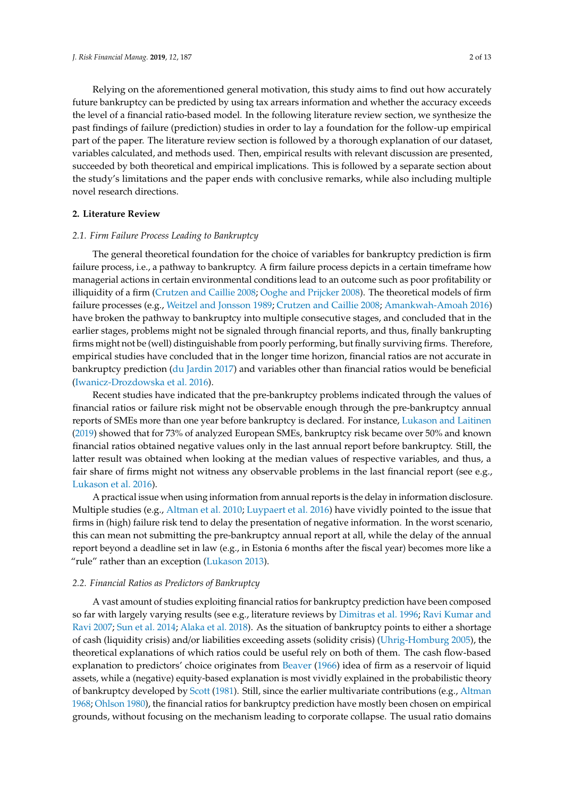Relying on the aforementioned general motivation, this study aims to find out how accurately future bankruptcy can be predicted by using tax arrears information and whether the accuracy exceeds the level of a financial ratio-based model. In the following literature review section, we synthesize the past findings of failure (prediction) studies in order to lay a foundation for the follow-up empirical part of the paper. The literature review section is followed by a thorough explanation of our dataset, variables calculated, and methods used. Then, empirical results with relevant discussion are presented, succeeded by both theoretical and empirical implications. This is followed by a separate section about the study's limitations and the paper ends with conclusive remarks, while also including multiple novel research directions.

# **2. Literature Review**

# <span id="page-1-0"></span>*2.1. Firm Failure Process Leading to Bankruptcy*

The general theoretical foundation for the choice of variables for bankruptcy prediction is firm failure process, i.e., a pathway to bankruptcy. A firm failure process depicts in a certain timeframe how managerial actions in certain environmental conditions lead to an outcome such as poor profitability or illiquidity of a firm [\(Crutzen and Caillie](#page-11-8) [2008;](#page-11-8) [Ooghe and Prijcker](#page-12-11) [2008\)](#page-12-11). The theoretical models of firm failure processes (e.g., [Weitzel and Jonsson](#page-12-12) [1989;](#page-12-12) [Crutzen and Caillie](#page-11-8) [2008;](#page-11-8) [Amankwah-Amoah](#page-11-9) [2016\)](#page-11-9) have broken the pathway to bankruptcy into multiple consecutive stages, and concluded that in the earlier stages, problems might not be signaled through financial reports, and thus, finally bankrupting firms might not be (well) distinguishable from poorly performing, but finally surviving firms. Therefore, empirical studies have concluded that in the longer time horizon, financial ratios are not accurate in bankruptcy prediction [\(du Jardin](#page-11-4) [2017\)](#page-11-4) and variables other than financial ratios would be beneficial [\(Iwanicz-Drozdowska et al.](#page-12-9) [2016\)](#page-12-9).

Recent studies have indicated that the pre-bankruptcy problems indicated through the values of financial ratios or failure risk might not be observable enough through the pre-bankruptcy annual reports of SMEs more than one year before bankruptcy is declared. For instance, [Lukason and Laitinen](#page-12-6) [\(2019\)](#page-12-6) showed that for 73% of analyzed European SMEs, bankruptcy risk became over 50% and known financial ratios obtained negative values only in the last annual report before bankruptcy. Still, the latter result was obtained when looking at the median values of respective variables, and thus, a fair share of firms might not witness any observable problems in the last financial report (see e.g., [Lukason et al.](#page-12-5) [2016\)](#page-12-5).

A practical issue when using information from annual reports is the delay in information disclosure. Multiple studies (e.g., [Altman et al.](#page-11-3) [2010;](#page-11-3) [Luypaert et al.](#page-12-2) [2016\)](#page-12-2) have vividly pointed to the issue that firms in (high) failure risk tend to delay the presentation of negative information. In the worst scenario, this can mean not submitting the pre-bankruptcy annual report at all, while the delay of the annual report beyond a deadline set in law (e.g., in Estonia 6 months after the fiscal year) becomes more like a "rule" rather than an exception [\(Lukason](#page-12-3) [2013\)](#page-12-3).

# *2.2. Financial Ratios as Predictors of Bankruptcy*

A vast amount of studies exploiting financial ratios for bankruptcy prediction have been composed so far with largely varying results (see e.g., literature reviews by [Dimitras et al.](#page-11-10) [1996;](#page-11-10) [Ravi Kumar and](#page-12-0) [Ravi](#page-12-0) [2007;](#page-12-0) [Sun et al.](#page-12-1) [2014;](#page-12-1) [Alaka et al.](#page-11-1) [2018\)](#page-11-1). As the situation of bankruptcy points to either a shortage of cash (liquidity crisis) and/or liabilities exceeding assets (solidity crisis) [\(Uhrig-Homburg](#page-12-13) [2005\)](#page-12-13), the theoretical explanations of which ratios could be useful rely on both of them. The cash flow-based explanation to predictors' choice originates from [Beaver](#page-11-11) [\(1966\)](#page-11-11) idea of firm as a reservoir of liquid assets, while a (negative) equity-based explanation is most vividly explained in the probabilistic theory of bankruptcy developed by [Scott](#page-12-14) [\(1981\)](#page-12-14). Still, since the earlier multivariate contributions (e.g., [Altman](#page-11-0) [1968;](#page-11-0) [Ohlson](#page-12-15) [1980\)](#page-12-15), the financial ratios for bankruptcy prediction have mostly been chosen on empirical grounds, without focusing on the mechanism leading to corporate collapse. The usual ratio domains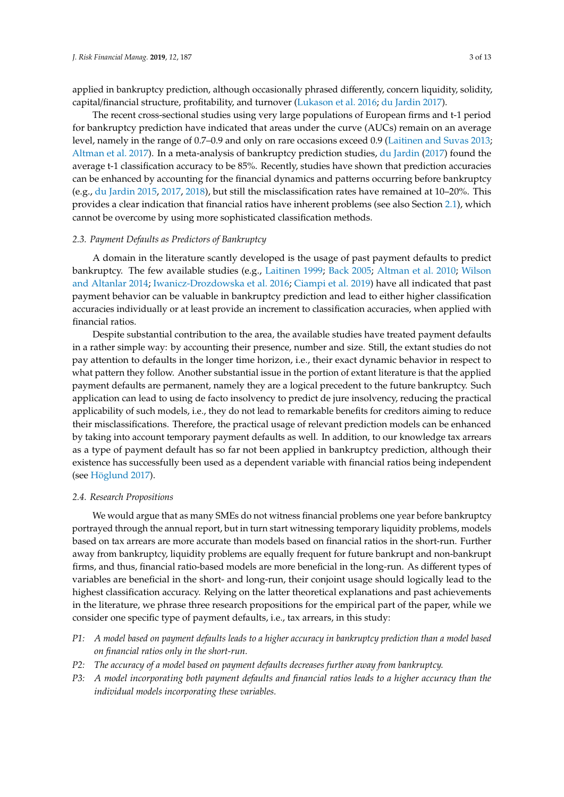applied in bankruptcy prediction, although occasionally phrased differently, concern liquidity, solidity, capital/financial structure, profitability, and turnover [\(Lukason et al.](#page-12-5) [2016;](#page-12-5) [du Jardin](#page-11-4) [2017\)](#page-11-4).

The recent cross-sectional studies using very large populations of European firms and t-1 period for bankruptcy prediction have indicated that areas under the curve (AUCs) remain on an average level, namely in the range of 0.7–0.9 and only on rare occasions exceed 0.9 [\(Laitinen and Suvas](#page-12-16) [2013;](#page-12-16) [Altman et al.](#page-11-12) [2017\)](#page-11-12). In a meta-analysis of bankruptcy prediction studies, [du Jardin](#page-11-4) [\(2017\)](#page-11-4) found the average t-1 classification accuracy to be 85%. Recently, studies have shown that prediction accuracies can be enhanced by accounting for the financial dynamics and patterns occurring before bankruptcy (e.g., [du Jardin](#page-11-13) [2015,](#page-11-13) [2017,](#page-11-4) [2018\)](#page-11-14), but still the misclassification rates have remained at 10–20%. This provides a clear indication that financial ratios have inherent problems (see also Section [2.1\)](#page-1-0), which cannot be overcome by using more sophisticated classification methods.

# <span id="page-2-0"></span>*2.3. Payment Defaults as Predictors of Bankruptcy*

A domain in the literature scantly developed is the usage of past payment defaults to predict bankruptcy. The few available studies (e.g., [Laitinen](#page-12-17) [1999;](#page-12-17) [Back](#page-11-5) [2005;](#page-11-5) [Altman et al.](#page-11-3) [2010;](#page-11-3) [Wilson](#page-12-18) [and Altanlar](#page-12-18) [2014;](#page-12-18) [Iwanicz-Drozdowska et al.](#page-12-9) [2016;](#page-12-9) [Ciampi et al.](#page-11-7) [2019\)](#page-11-7) have all indicated that past payment behavior can be valuable in bankruptcy prediction and lead to either higher classification accuracies individually or at least provide an increment to classification accuracies, when applied with financial ratios.

Despite substantial contribution to the area, the available studies have treated payment defaults in a rather simple way: by accounting their presence, number and size. Still, the extant studies do not pay attention to defaults in the longer time horizon, i.e., their exact dynamic behavior in respect to what pattern they follow. Another substantial issue in the portion of extant literature is that the applied payment defaults are permanent, namely they are a logical precedent to the future bankruptcy. Such application can lead to using de facto insolvency to predict de jure insolvency, reducing the practical applicability of such models, i.e., they do not lead to remarkable benefits for creditors aiming to reduce their misclassifications. Therefore, the practical usage of relevant prediction models can be enhanced by taking into account temporary payment defaults as well. In addition, to our knowledge tax arrears as a type of payment default has so far not been applied in bankruptcy prediction, although their existence has successfully been used as a dependent variable with financial ratios being independent (see [Höglund](#page-12-19) [2017\)](#page-12-19).

## *2.4. Research Propositions*

We would argue that as many SMEs do not witness financial problems one year before bankruptcy portrayed through the annual report, but in turn start witnessing temporary liquidity problems, models based on tax arrears are more accurate than models based on financial ratios in the short-run. Further away from bankruptcy, liquidity problems are equally frequent for future bankrupt and non-bankrupt firms, and thus, financial ratio-based models are more beneficial in the long-run. As different types of variables are beneficial in the short- and long-run, their conjoint usage should logically lead to the highest classification accuracy. Relying on the latter theoretical explanations and past achievements in the literature, we phrase three research propositions for the empirical part of the paper, while we consider one specific type of payment defaults, i.e., tax arrears, in this study:

- *P1: A model based on payment defaults leads to a higher accuracy in bankruptcy prediction than a model based on financial ratios only in the short-run.*
- *P2: The accuracy of a model based on payment defaults decreases further away from bankruptcy.*
- *P3: A model incorporating both payment defaults and financial ratios leads to a higher accuracy than the individual models incorporating these variables.*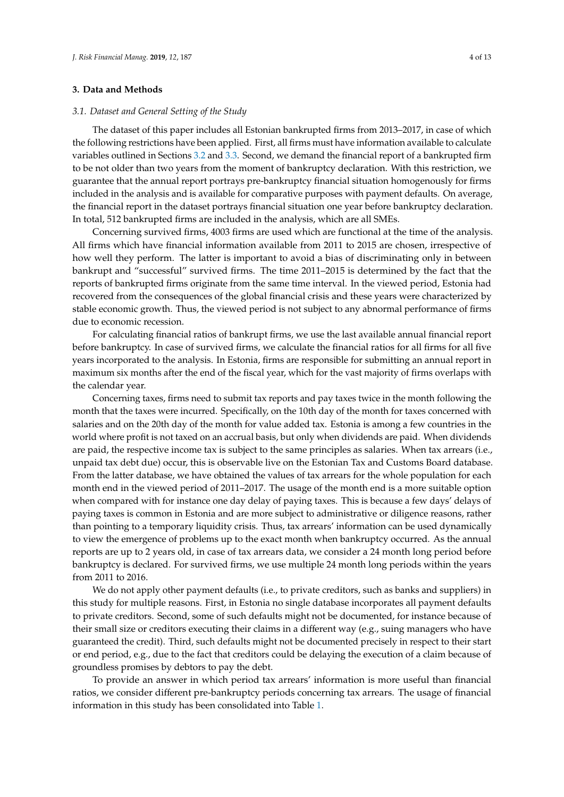#### **3. Data and Methods**

#### <span id="page-3-0"></span>*3.1. Dataset and General Setting of the Study*

The dataset of this paper includes all Estonian bankrupted firms from 2013–2017, in case of which the following restrictions have been applied. First, all firms must have information available to calculate variables outlined in Sections [3.2](#page-4-0) and [3.3.](#page-5-0) Second, we demand the financial report of a bankrupted firm to be not older than two years from the moment of bankruptcy declaration. With this restriction, we guarantee that the annual report portrays pre-bankruptcy financial situation homogenously for firms included in the analysis and is available for comparative purposes with payment defaults. On average, the financial report in the dataset portrays financial situation one year before bankruptcy declaration. In total, 512 bankrupted firms are included in the analysis, which are all SMEs.

Concerning survived firms, 4003 firms are used which are functional at the time of the analysis. All firms which have financial information available from 2011 to 2015 are chosen, irrespective of how well they perform. The latter is important to avoid a bias of discriminating only in between bankrupt and "successful" survived firms. The time 2011–2015 is determined by the fact that the reports of bankrupted firms originate from the same time interval. In the viewed period, Estonia had recovered from the consequences of the global financial crisis and these years were characterized by stable economic growth. Thus, the viewed period is not subject to any abnormal performance of firms due to economic recession.

For calculating financial ratios of bankrupt firms, we use the last available annual financial report before bankruptcy. In case of survived firms, we calculate the financial ratios for all firms for all five years incorporated to the analysis. In Estonia, firms are responsible for submitting an annual report in maximum six months after the end of the fiscal year, which for the vast majority of firms overlaps with the calendar year.

Concerning taxes, firms need to submit tax reports and pay taxes twice in the month following the month that the taxes were incurred. Specifically, on the 10th day of the month for taxes concerned with salaries and on the 20th day of the month for value added tax. Estonia is among a few countries in the world where profit is not taxed on an accrual basis, but only when dividends are paid. When dividends are paid, the respective income tax is subject to the same principles as salaries. When tax arrears (i.e., unpaid tax debt due) occur, this is observable live on the Estonian Tax and Customs Board database. From the latter database, we have obtained the values of tax arrears for the whole population for each month end in the viewed period of 2011–2017. The usage of the month end is a more suitable option when compared with for instance one day delay of paying taxes. This is because a few days' delays of paying taxes is common in Estonia and are more subject to administrative or diligence reasons, rather than pointing to a temporary liquidity crisis. Thus, tax arrears' information can be used dynamically to view the emergence of problems up to the exact month when bankruptcy occurred. As the annual reports are up to 2 years old, in case of tax arrears data, we consider a 24 month long period before bankruptcy is declared. For survived firms, we use multiple 24 month long periods within the years from 2011 to 2016.

We do not apply other payment defaults (i.e., to private creditors, such as banks and suppliers) in this study for multiple reasons. First, in Estonia no single database incorporates all payment defaults to private creditors. Second, some of such defaults might not be documented, for instance because of their small size or creditors executing their claims in a different way (e.g., suing managers who have guaranteed the credit). Third, such defaults might not be documented precisely in respect to their start or end period, e.g., due to the fact that creditors could be delaying the execution of a claim because of groundless promises by debtors to pay the debt.

To provide an answer in which period tax arrears' information is more useful than financial ratios, we consider different pre-bankruptcy periods concerning tax arrears. The usage of financial information in this study has been consolidated into Table [1.](#page-4-1)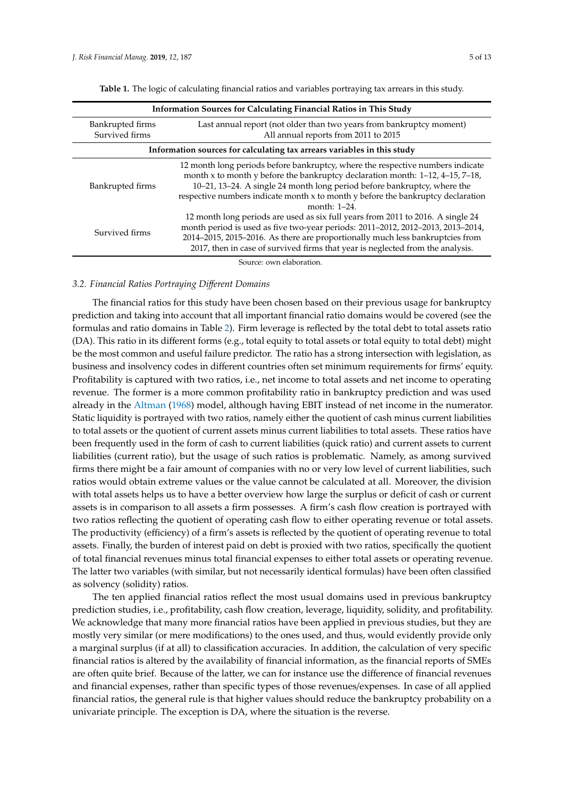<span id="page-4-1"></span>

| <b>Information Sources for Calculating Financial Ratios in This Study</b> |                                                                                                                                                                                                                                                                                                                                                 |  |  |  |  |  |  |  |  |  |  |
|---------------------------------------------------------------------------|-------------------------------------------------------------------------------------------------------------------------------------------------------------------------------------------------------------------------------------------------------------------------------------------------------------------------------------------------|--|--|--|--|--|--|--|--|--|--|
| Bankrupted firms<br>Survived firms                                        | Last annual report (not older than two years from bankruptcy moment)<br>All annual reports from 2011 to 2015                                                                                                                                                                                                                                    |  |  |  |  |  |  |  |  |  |  |
|                                                                           | Information sources for calculating tax arrears variables in this study                                                                                                                                                                                                                                                                         |  |  |  |  |  |  |  |  |  |  |
| Bankrupted firms                                                          | 12 month long periods before bankruptcy, where the respective numbers indicate<br>month x to month y before the bankruptcy declaration month: 1-12, 4-15, 7-18,<br>10-21, 13-24. A single 24 month long period before bankruptcy, where the<br>respective numbers indicate month x to month y before the bankruptcy declaration<br>month: 1-24. |  |  |  |  |  |  |  |  |  |  |
| Survived firms                                                            | 12 month long periods are used as six full years from 2011 to 2016. A single 24<br>month period is used as five two-year periods: 2011-2012, 2012-2013, 2013-2014,<br>2014-2015, 2015-2016. As there are proportionally much less bankruptcies from<br>2017, then in case of survived firms that year is neglected from the analysis.           |  |  |  |  |  |  |  |  |  |  |

**Table 1.** The logic of calculating financial ratios and variables portraying tax arrears in this study.

Source: own elaboration.

## <span id="page-4-0"></span>*3.2. Financial Ratios Portraying Di*ff*erent Domains*

The financial ratios for this study have been chosen based on their previous usage for bankruptcy prediction and taking into account that all important financial ratio domains would be covered (see the formulas and ratio domains in Table [2\)](#page-5-1). Firm leverage is reflected by the total debt to total assets ratio (DA). This ratio in its different forms (e.g., total equity to total assets or total equity to total debt) might be the most common and useful failure predictor. The ratio has a strong intersection with legislation, as business and insolvency codes in different countries often set minimum requirements for firms' equity. Profitability is captured with two ratios, i.e., net income to total assets and net income to operating revenue. The former is a more common profitability ratio in bankruptcy prediction and was used already in the [Altman](#page-11-0) [\(1968\)](#page-11-0) model, although having EBIT instead of net income in the numerator. Static liquidity is portrayed with two ratios, namely either the quotient of cash minus current liabilities to total assets or the quotient of current assets minus current liabilities to total assets. These ratios have been frequently used in the form of cash to current liabilities (quick ratio) and current assets to current liabilities (current ratio), but the usage of such ratios is problematic. Namely, as among survived firms there might be a fair amount of companies with no or very low level of current liabilities, such ratios would obtain extreme values or the value cannot be calculated at all. Moreover, the division with total assets helps us to have a better overview how large the surplus or deficit of cash or current assets is in comparison to all assets a firm possesses. A firm's cash flow creation is portrayed with two ratios reflecting the quotient of operating cash flow to either operating revenue or total assets. The productivity (efficiency) of a firm's assets is reflected by the quotient of operating revenue to total assets. Finally, the burden of interest paid on debt is proxied with two ratios, specifically the quotient of total financial revenues minus total financial expenses to either total assets or operating revenue. The latter two variables (with similar, but not necessarily identical formulas) have been often classified as solvency (solidity) ratios.

The ten applied financial ratios reflect the most usual domains used in previous bankruptcy prediction studies, i.e., profitability, cash flow creation, leverage, liquidity, solidity, and profitability. We acknowledge that many more financial ratios have been applied in previous studies, but they are mostly very similar (or mere modifications) to the ones used, and thus, would evidently provide only a marginal surplus (if at all) to classification accuracies. In addition, the calculation of very specific financial ratios is altered by the availability of financial information, as the financial reports of SMEs are often quite brief. Because of the latter, we can for instance use the difference of financial revenues and financial expenses, rather than specific types of those revenues/expenses. In case of all applied financial ratios, the general rule is that higher values should reduce the bankruptcy probability on a univariate principle. The exception is DA, where the situation is the reverse.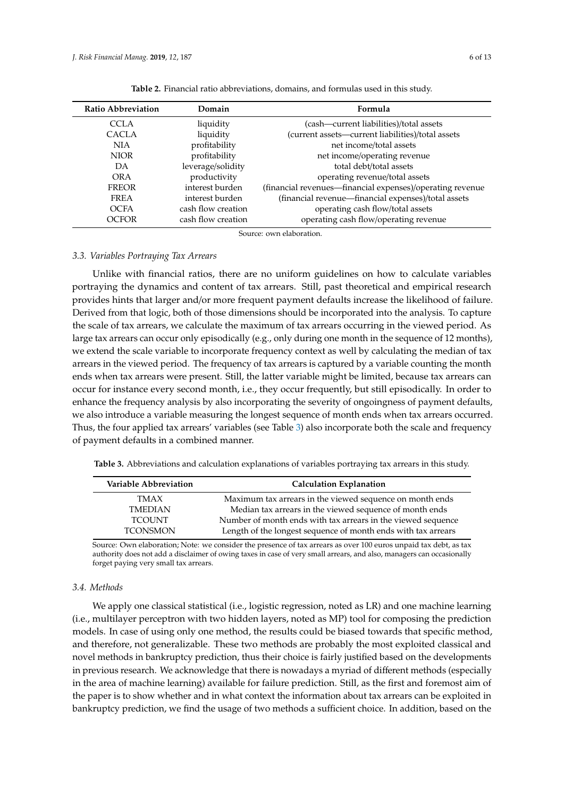<span id="page-5-1"></span>

| <b>Ratio Abbreviation</b> | Domain             | Formula                                                   |
|---------------------------|--------------------|-----------------------------------------------------------|
| <b>CCLA</b>               | liquidity          | (cash—current liabilities)/total assets                   |
| <b>CACLA</b>              | liquidity          | (current assets—current liabilities)/total assets         |
| <b>NIA</b>                | profitability      | net income/total assets                                   |
| <b>NIOR</b>               | profitability      | net income/operating revenue                              |
| DA                        | leverage/solidity  | total debt/total assets                                   |
| <b>ORA</b>                | productivity       | operating revenue/total assets                            |
| <b>FREOR</b>              | interest burden    | (financial revenues—financial expenses)/operating revenue |
| <b>FREA</b>               | interest burden    | (financial revenue-financial expenses)/total assets       |
| <b>OCFA</b>               | cash flow creation | operating cash flow/total assets                          |
| <b>OCFOR</b>              | cash flow creation | operating cash flow/operating revenue                     |

**Table 2.** Financial ratio abbreviations, domains, and formulas used in this study.

Source: own elaboration.

## <span id="page-5-0"></span>*3.3. Variables Portraying Tax Arrears*

Unlike with financial ratios, there are no uniform guidelines on how to calculate variables portraying the dynamics and content of tax arrears. Still, past theoretical and empirical research provides hints that larger and/or more frequent payment defaults increase the likelihood of failure. Derived from that logic, both of those dimensions should be incorporated into the analysis. To capture the scale of tax arrears, we calculate the maximum of tax arrears occurring in the viewed period. As large tax arrears can occur only episodically (e.g., only during one month in the sequence of 12 months), we extend the scale variable to incorporate frequency context as well by calculating the median of tax arrears in the viewed period. The frequency of tax arrears is captured by a variable counting the month ends when tax arrears were present. Still, the latter variable might be limited, because tax arrears can occur for instance every second month, i.e., they occur frequently, but still episodically. In order to enhance the frequency analysis by also incorporating the severity of ongoingness of payment defaults, we also introduce a variable measuring the longest sequence of month ends when tax arrears occurred. Thus, the four applied tax arrears' variables (see Table [3\)](#page-5-2) also incorporate both the scale and frequency of payment defaults in a combined manner.

<span id="page-5-2"></span>**Table 3.** Abbreviations and calculation explanations of variables portraying tax arrears in this study.

| Variable Abbreviation | <b>Calculation Explanation</b>                                |  |  |  |  |  |  |  |
|-----------------------|---------------------------------------------------------------|--|--|--|--|--|--|--|
| <b>TMAX</b>           | Maximum tax arrears in the viewed sequence on month ends      |  |  |  |  |  |  |  |
| <b>TMEDIAN</b>        | Median tax arrears in the viewed sequence of month ends       |  |  |  |  |  |  |  |
| <b>TCOUNT</b>         | Number of month ends with tax arrears in the viewed sequence  |  |  |  |  |  |  |  |
| <b>TCONSMON</b>       | Length of the longest sequence of month ends with tax arrears |  |  |  |  |  |  |  |

Source: Own elaboration; Note: we consider the presence of tax arrears as over 100 euros unpaid tax debt, as tax authority does not add a disclaimer of owing taxes in case of very small arrears, and also, managers can occasionally forget paying very small tax arrears.

#### *3.4. Methods*

We apply one classical statistical (i.e., logistic regression, noted as LR) and one machine learning (i.e., multilayer perceptron with two hidden layers, noted as MP) tool for composing the prediction models. In case of using only one method, the results could be biased towards that specific method, and therefore, not generalizable. These two methods are probably the most exploited classical and novel methods in bankruptcy prediction, thus their choice is fairly justified based on the developments in previous research. We acknowledge that there is nowadays a myriad of different methods (especially in the area of machine learning) available for failure prediction. Still, as the first and foremost aim of the paper is to show whether and in what context the information about tax arrears can be exploited in bankruptcy prediction, we find the usage of two methods a sufficient choice. In addition, based on the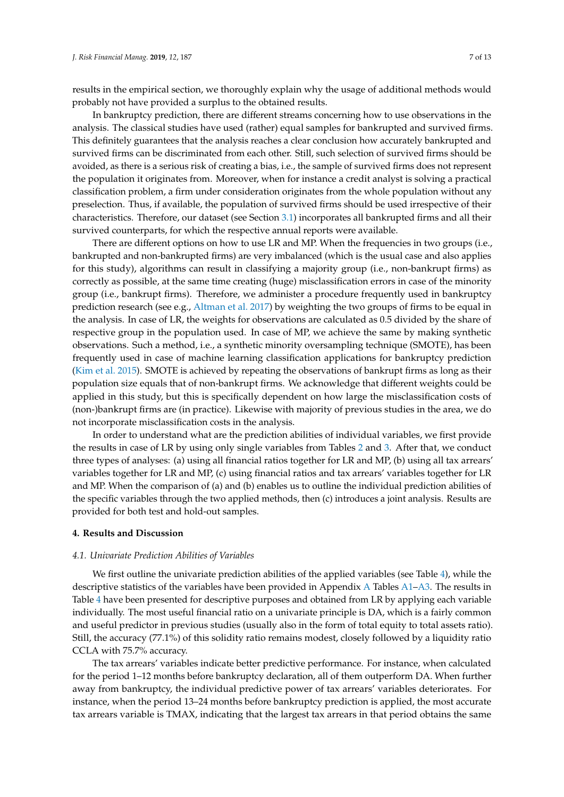results in the empirical section, we thoroughly explain why the usage of additional methods would probably not have provided a surplus to the obtained results.

In bankruptcy prediction, there are different streams concerning how to use observations in the analysis. The classical studies have used (rather) equal samples for bankrupted and survived firms. This definitely guarantees that the analysis reaches a clear conclusion how accurately bankrupted and survived firms can be discriminated from each other. Still, such selection of survived firms should be avoided, as there is a serious risk of creating a bias, i.e., the sample of survived firms does not represent the population it originates from. Moreover, when for instance a credit analyst is solving a practical classification problem, a firm under consideration originates from the whole population without any preselection. Thus, if available, the population of survived firms should be used irrespective of their characteristics. Therefore, our dataset (see Section [3.1\)](#page-3-0) incorporates all bankrupted firms and all their survived counterparts, for which the respective annual reports were available.

There are different options on how to use LR and MP. When the frequencies in two groups (i.e., bankrupted and non-bankrupted firms) are very imbalanced (which is the usual case and also applies for this study), algorithms can result in classifying a majority group (i.e., non-bankrupt firms) as correctly as possible, at the same time creating (huge) misclassification errors in case of the minority group (i.e., bankrupt firms). Therefore, we administer a procedure frequently used in bankruptcy prediction research (see e.g., [Altman et al.](#page-11-12) [2017\)](#page-11-12) by weighting the two groups of firms to be equal in the analysis. In case of LR, the weights for observations are calculated as 0.5 divided by the share of respective group in the population used. In case of MP, we achieve the same by making synthetic observations. Such a method, i.e., a synthetic minority oversampling technique (SMOTE), has been frequently used in case of machine learning classification applications for bankruptcy prediction [\(Kim et al.](#page-12-20) [2015\)](#page-12-20). SMOTE is achieved by repeating the observations of bankrupt firms as long as their population size equals that of non-bankrupt firms. We acknowledge that different weights could be applied in this study, but this is specifically dependent on how large the misclassification costs of (non-)bankrupt firms are (in practice). Likewise with majority of previous studies in the area, we do not incorporate misclassification costs in the analysis.

In order to understand what are the prediction abilities of individual variables, we first provide the results in case of LR by using only single variables from Tables [2](#page-5-1) and [3.](#page-5-2) After that, we conduct three types of analyses: (a) using all financial ratios together for LR and MP, (b) using all tax arrears' variables together for LR and MP, (c) using financial ratios and tax arrears' variables together for LR and MP. When the comparison of (a) and (b) enables us to outline the individual prediction abilities of the specific variables through the two applied methods, then (c) introduces a joint analysis. Results are provided for both test and hold-out samples.

# **4. Results and Discussion**

#### *4.1. Univariate Prediction Abilities of Variables*

We first outline the univariate prediction abilities of the applied variables (see Table [4\)](#page-7-0), while the descriptive statistics of the variables have been provided in Appendix [A](#page-9-0) Tables [A1](#page-10-0)[–A3.](#page-11-15) The results in Table [4](#page-7-0) have been presented for descriptive purposes and obtained from LR by applying each variable individually. The most useful financial ratio on a univariate principle is DA, which is a fairly common and useful predictor in previous studies (usually also in the form of total equity to total assets ratio). Still, the accuracy (77.1%) of this solidity ratio remains modest, closely followed by a liquidity ratio CCLA with 75.7% accuracy.

The tax arrears' variables indicate better predictive performance. For instance, when calculated for the period 1–12 months before bankruptcy declaration, all of them outperform DA. When further away from bankruptcy, the individual predictive power of tax arrears' variables deteriorates. For instance, when the period 13–24 months before bankruptcy prediction is applied, the most accurate tax arrears variable is TMAX, indicating that the largest tax arrears in that period obtains the same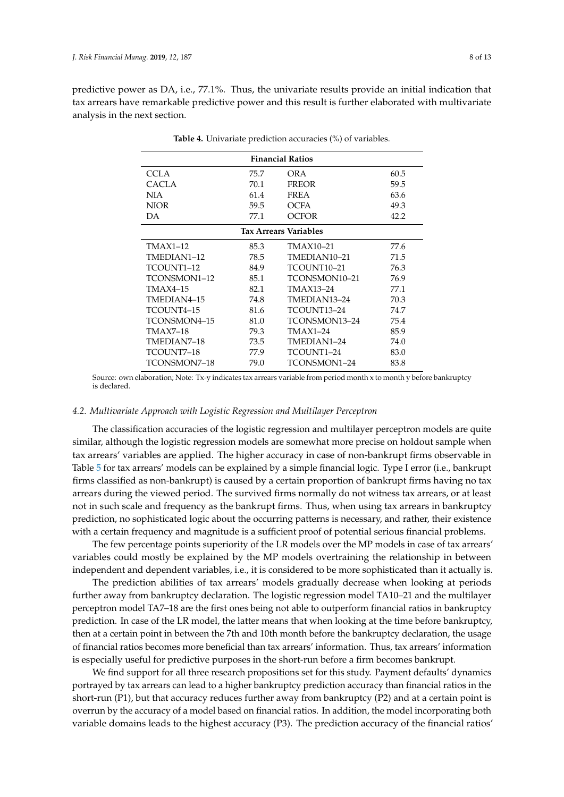<span id="page-7-0"></span>predictive power as DA, i.e., 77.1%. Thus, the univariate results provide an initial indication that tax arrears have remarkable predictive power and this result is further elaborated with multivariate analysis in the next section.

| <b>Financial Ratios</b>      |      |               |      |  |  |  |  |  |  |  |  |
|------------------------------|------|---------------|------|--|--|--|--|--|--|--|--|
| <b>CCLA</b>                  | 75.7 | <b>ORA</b>    | 60.5 |  |  |  |  |  |  |  |  |
| <b>CACLA</b>                 | 70.1 | <b>FREOR</b>  | 59.5 |  |  |  |  |  |  |  |  |
| NIA.                         | 61.4 | <b>FREA</b>   | 63.6 |  |  |  |  |  |  |  |  |
| NIOR                         | 59.5 | <b>OCFA</b>   | 49.3 |  |  |  |  |  |  |  |  |
| DA.                          | 77.1 | <b>OCFOR</b>  | 42.2 |  |  |  |  |  |  |  |  |
| <b>Tax Arrears Variables</b> |      |               |      |  |  |  |  |  |  |  |  |
| $TMAX1-12$                   | 85.3 | TMAX10-21     | 77.6 |  |  |  |  |  |  |  |  |
| TMEDIAN1-12                  | 78.5 | TMEDIAN10–21  | 71.5 |  |  |  |  |  |  |  |  |
| TCOUNT1–12                   | 84.9 | TCOUNT10–21   | 76.3 |  |  |  |  |  |  |  |  |
| TCONSMON1-12                 | 85.1 | TCONSMON10-21 | 76.9 |  |  |  |  |  |  |  |  |
| $TMAX4-15$                   | 82.1 | TMAX13-24     | 77.1 |  |  |  |  |  |  |  |  |
| TMEDIAN4-15                  | 74.8 | TMEDIAN13-24  | 70.3 |  |  |  |  |  |  |  |  |
| TCOUNT4–15                   | 81.6 | TCOUNT13–24   | 74.7 |  |  |  |  |  |  |  |  |
| TCONSMON4–15                 | 81.0 | TCONSMON13–24 | 75.4 |  |  |  |  |  |  |  |  |
| TMAX7-18                     | 79.3 | $TMAX1-24$    | 85.9 |  |  |  |  |  |  |  |  |
| TMEDIAN7-18                  | 73.5 | TMEDIAN1–24   | 74.0 |  |  |  |  |  |  |  |  |
| TCOUNT7–18                   | 77.9 | TCOUNT1–24    | 83.0 |  |  |  |  |  |  |  |  |
| TCONSMON7-18                 | 79.0 | TCONSMON1-24  | 83.8 |  |  |  |  |  |  |  |  |

**Table 4.** Univariate prediction accuracies (%) of variables.

Source: own elaboration; Note: Tx-y indicates tax arrears variable from period month x to month y before bankruptcy is declared.

# *4.2. Multivariate Approach with Logistic Regression and Multilayer Perceptron*

The classification accuracies of the logistic regression and multilayer perceptron models are quite similar, although the logistic regression models are somewhat more precise on holdout sample when tax arrears' variables are applied. The higher accuracy in case of non-bankrupt firms observable in Table [5](#page-8-0) for tax arrears' models can be explained by a simple financial logic. Type I error (i.e., bankrupt firms classified as non-bankrupt) is caused by a certain proportion of bankrupt firms having no tax arrears during the viewed period. The survived firms normally do not witness tax arrears, or at least not in such scale and frequency as the bankrupt firms. Thus, when using tax arrears in bankruptcy prediction, no sophisticated logic about the occurring patterns is necessary, and rather, their existence with a certain frequency and magnitude is a sufficient proof of potential serious financial problems.

The few percentage points superiority of the LR models over the MP models in case of tax arrears' variables could mostly be explained by the MP models overtraining the relationship in between independent and dependent variables, i.e., it is considered to be more sophisticated than it actually is.

The prediction abilities of tax arrears' models gradually decrease when looking at periods further away from bankruptcy declaration. The logistic regression model TA10–21 and the multilayer perceptron model TA7–18 are the first ones being not able to outperform financial ratios in bankruptcy prediction. In case of the LR model, the latter means that when looking at the time before bankruptcy, then at a certain point in between the 7th and 10th month before the bankruptcy declaration, the usage of financial ratios becomes more beneficial than tax arrears' information. Thus, tax arrears' information is especially useful for predictive purposes in the short-run before a firm becomes bankrupt.

We find support for all three research propositions set for this study. Payment defaults' dynamics portrayed by tax arrears can lead to a higher bankruptcy prediction accuracy than financial ratios in the short-run (P1), but that accuracy reduces further away from bankruptcy (P2) and at a certain point is overrun by the accuracy of a model based on financial ratios. In addition, the model incorporating both variable domains leads to the highest accuracy (P3). The prediction accuracy of the financial ratios'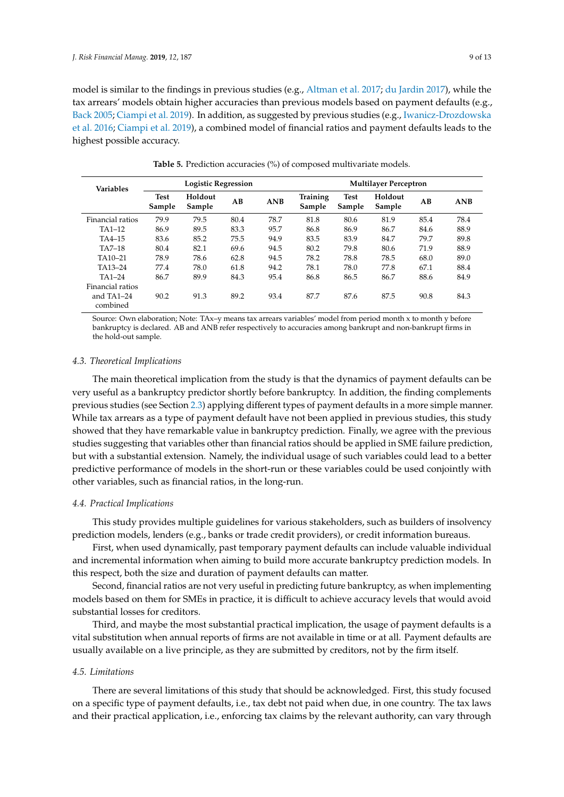model is similar to the findings in previous studies (e.g., [Altman et al.](#page-11-12) [2017;](#page-11-12) [du Jardin](#page-11-4) [2017\)](#page-11-4), while the tax arrears' models obtain higher accuracies than previous models based on payment defaults (e.g., [Back](#page-11-5) [2005;](#page-11-5) [Ciampi et al.](#page-11-7) [2019\)](#page-11-7). In addition, as suggested by previous studies (e.g., [Iwanicz-Drozdowska](#page-12-9) [et al.](#page-12-9) [2016;](#page-12-9) [Ciampi et al.](#page-11-7) [2019\)](#page-11-7), a combined model of financial ratios and payment defaults leads to the highest possible accuracy.

<span id="page-8-0"></span>

| <b>Variables</b>       |                       | <b>Logistic Regression</b> |      |      |                    | <b>Multilayer Perceptron</b> |                   |      |      |  |  |  |
|------------------------|-----------------------|----------------------------|------|------|--------------------|------------------------------|-------------------|------|------|--|--|--|
|                        | <b>Test</b><br>Sample | Holdout<br>AB<br>Sample    |      | AND  | Training<br>Sample | <b>Test</b><br>Sample        | Holdout<br>Sample | AB   | ANDB |  |  |  |
| Financial ratios       | 79.9                  | 79.5                       | 80.4 | 78.7 | 81.8               | 80.6                         | 81.9              | 85.4 | 78.4 |  |  |  |
| TA1-12                 | 86.9                  | 89.5                       | 83.3 | 95.7 | 86.8               | 86.9                         | 86.7              | 84.6 | 88.9 |  |  |  |
| TA4-15                 | 83.6                  | 85.2                       | 75.5 | 94.9 | 83.5               | 83.9                         | 84.7              | 79.7 | 89.8 |  |  |  |
| TA7-18                 | 80.4                  | 82.1                       | 69.6 | 94.5 | 80.2               | 79.8                         | 80.6              | 71.9 | 88.9 |  |  |  |
| TA10-21                | 78.9                  | 78.6                       | 62.8 | 94.5 | 78.2               | 78.8                         | 78.5              | 68.0 | 89.0 |  |  |  |
| TA <sub>13</sub> -24   | 77.4                  | 78.0                       | 61.8 | 94.2 | 78.1               | 78.0                         | 77.8              | 67.1 | 88.4 |  |  |  |
| $TA1-24$               | 86.7                  | 89.9                       | 84.3 | 95.4 | 86.8               | 86.5                         | 86.7              | 88.6 | 84.9 |  |  |  |
| Financial ratios       |                       |                            |      |      |                    |                              |                   |      |      |  |  |  |
| and TA1-24<br>combined | 90.2                  | 91.3                       | 89.2 | 93.4 | 87.7               | 87.6                         | 87.5              | 90.8 | 84.3 |  |  |  |

**Table 5.** Prediction accuracies (%) of composed multivariate models.

Source: Own elaboration; Note: TAx–y means tax arrears variables' model from period month x to month y before bankruptcy is declared. AB and ANB refer respectively to accuracies among bankrupt and non-bankrupt firms in the hold-out sample.

#### *4.3. Theoretical Implications*

The main theoretical implication from the study is that the dynamics of payment defaults can be very useful as a bankruptcy predictor shortly before bankruptcy. In addition, the finding complements previous studies (see Section [2.3\)](#page-2-0) applying different types of payment defaults in a more simple manner. While tax arrears as a type of payment default have not been applied in previous studies, this study showed that they have remarkable value in bankruptcy prediction. Finally, we agree with the previous studies suggesting that variables other than financial ratios should be applied in SME failure prediction, but with a substantial extension. Namely, the individual usage of such variables could lead to a better predictive performance of models in the short-run or these variables could be used conjointly with other variables, such as financial ratios, in the long-run.

#### *4.4. Practical Implications*

This study provides multiple guidelines for various stakeholders, such as builders of insolvency prediction models, lenders (e.g., banks or trade credit providers), or credit information bureaus.

First, when used dynamically, past temporary payment defaults can include valuable individual and incremental information when aiming to build more accurate bankruptcy prediction models. In this respect, both the size and duration of payment defaults can matter.

Second, financial ratios are not very useful in predicting future bankruptcy, as when implementing models based on them for SMEs in practice, it is difficult to achieve accuracy levels that would avoid substantial losses for creditors.

Third, and maybe the most substantial practical implication, the usage of payment defaults is a vital substitution when annual reports of firms are not available in time or at all. Payment defaults are usually available on a live principle, as they are submitted by creditors, not by the firm itself.

#### *4.5. Limitations*

There are several limitations of this study that should be acknowledged. First, this study focused on a specific type of payment defaults, i.e., tax debt not paid when due, in one country. The tax laws and their practical application, i.e., enforcing tax claims by the relevant authority, can vary through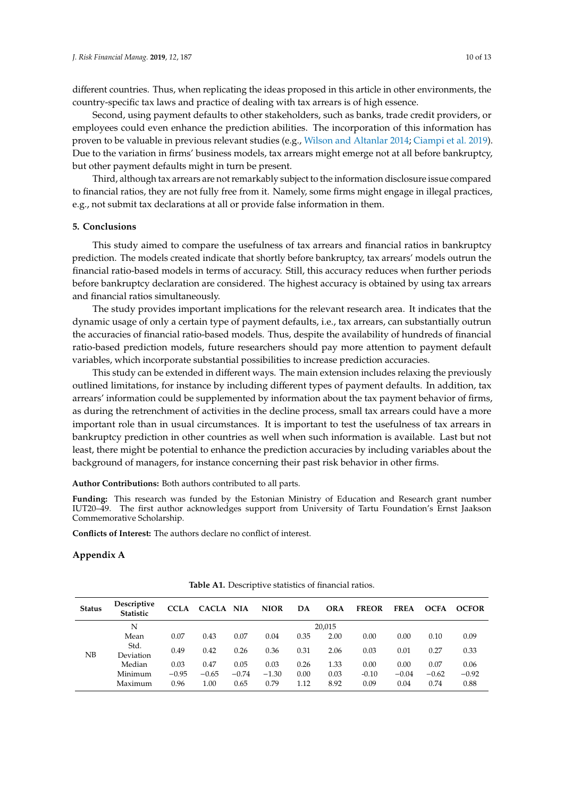different countries. Thus, when replicating the ideas proposed in this article in other environments, the country-specific tax laws and practice of dealing with tax arrears is of high essence.

Second, using payment defaults to other stakeholders, such as banks, trade credit providers, or employees could even enhance the prediction abilities. The incorporation of this information has proven to be valuable in previous relevant studies (e.g., [Wilson and Altanlar](#page-12-18) [2014;](#page-12-18) [Ciampi et al.](#page-11-7) [2019\)](#page-11-7). Due to the variation in firms' business models, tax arrears might emerge not at all before bankruptcy, but other payment defaults might in turn be present.

Third, although tax arrears are not remarkably subject to the information disclosure issue compared to financial ratios, they are not fully free from it. Namely, some firms might engage in illegal practices, e.g., not submit tax declarations at all or provide false information in them.

# **5. Conclusions**

This study aimed to compare the usefulness of tax arrears and financial ratios in bankruptcy prediction. The models created indicate that shortly before bankruptcy, tax arrears' models outrun the financial ratio-based models in terms of accuracy. Still, this accuracy reduces when further periods before bankruptcy declaration are considered. The highest accuracy is obtained by using tax arrears and financial ratios simultaneously.

The study provides important implications for the relevant research area. It indicates that the dynamic usage of only a certain type of payment defaults, i.e., tax arrears, can substantially outrun the accuracies of financial ratio-based models. Thus, despite the availability of hundreds of financial ratio-based prediction models, future researchers should pay more attention to payment default variables, which incorporate substantial possibilities to increase prediction accuracies.

This study can be extended in different ways. The main extension includes relaxing the previously outlined limitations, for instance by including different types of payment defaults. In addition, tax arrears' information could be supplemented by information about the tax payment behavior of firms, as during the retrenchment of activities in the decline process, small tax arrears could have a more important role than in usual circumstances. It is important to test the usefulness of tax arrears in bankruptcy prediction in other countries as well when such information is available. Last but not least, there might be potential to enhance the prediction accuracies by including variables about the background of managers, for instance concerning their past risk behavior in other firms.

**Author Contributions:** Both authors contributed to all parts.

**Funding:** This research was funded by the Estonian Ministry of Education and Research grant number IUT20–49. The first author acknowledges support from University of Tartu Foundation's Ernst Jaakson Commemorative Scholarship.

**Conflicts of Interest:** The authors declare no conflict of interest.

# <span id="page-9-0"></span>**Appendix A**

| <b>Status</b> | Descriptive<br><b>Statistic</b> | <b>CCLA</b> | <b>CACLA</b> | <b>NIA</b> | <b>NIOR</b> | DA   | <b>ORA</b> | <b>FREOR</b> | <b>FREA</b> | <b>OCFA</b> | <b>OCFOR</b> |  |  |  |
|---------------|---------------------------------|-------------|--------------|------------|-------------|------|------------|--------------|-------------|-------------|--------------|--|--|--|
|               | N                               | 20,015      |              |            |             |      |            |              |             |             |              |  |  |  |
| NΒ            | Mean                            | 0.07        | 0.43         | 0.07       | 0.04        | 0.35 | 2.00       | 0.00         | 0.00        | 0.10        | 0.09         |  |  |  |
|               | Std.<br>Deviation               | 0.49        | 0.42         | 0.26       | 0.36        | 0.31 | 2.06       | 0.03         | 0.01        | 0.27        | 0.33         |  |  |  |
|               | Median                          | 0.03        | 0.47         | 0.05       | 0.03        | 0.26 | 1.33       | 0.00         | 0.00        | 0.07        | 0.06         |  |  |  |
|               | Minimum                         | $-0.95$     | $-0.65$      | $-0.74$    | $-1.30$     | 0.00 | 0.03       | $-0.10$      | $-0.04$     | $-0.62$     | $-0.92$      |  |  |  |
|               | Maximum                         | 0.96        | 1.00         | 0.65       | 0.79        | 1.12 | 8.92       | 0.09         | 0.04        | 0.74        | 0.88         |  |  |  |

**Table A1.** Descriptive statistics of financial ratios.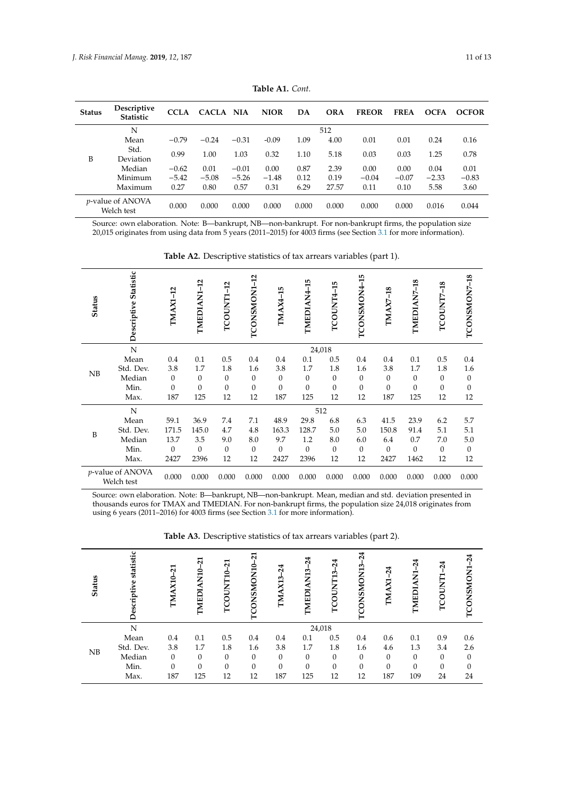<span id="page-10-0"></span>

| <b>Status</b> | Descriptive<br><b>Statistic</b>        | <b>CCLA</b> | <b>CACLA</b> | <b>NIA</b> | <b>NIOR</b> | DA    | ORA   | <b>FREOR</b> | <b>FREA</b> | <b>OCFA</b> | <b>OCFOR</b> |  |
|---------------|----------------------------------------|-------------|--------------|------------|-------------|-------|-------|--------------|-------------|-------------|--------------|--|
|               | N                                      | 512         |              |            |             |       |       |              |             |             |              |  |
| B             | Mean                                   | $-0.79$     | $-0.24$      | $-0.31$    | $-0.09$     | 1.09  | 4.00  | 0.01         | 0.01        | 0.24        | 0.16         |  |
|               | Std.<br>Deviation                      | 0.99        | 1.00         | 1.03       | 0.32        | 1.10  | 5.18  | 0.03         | 0.03        | 1.25        | 0.78         |  |
|               | Median                                 | $-0.62$     | 0.01         | $-0.01$    | 0.00        | 0.87  | 2.39  | 0.00         | 0.00        | 0.04        | 0.01         |  |
|               | Minimum                                | $-5.42$     | $-5.08$      | $-5.26$    | $-1.48$     | 0.12  | 0.19  | $-0.04$      | $-0.07$     | $-2.33$     | $-0.83$      |  |
|               | Maximum                                | 0.27        | 0.80         | 0.57       | 0.31        | 6.29  | 27.57 | 0.11         | 0.10        | 5.58        | 3.60         |  |
|               | <i>p</i> -value of ANOVA<br>Welch test | 0.000       | 0.000        | 0.000      | 0.000       | 0.000 | 0.000 | 0.000        | 0.000       | 0.016       | 0.044        |  |

**Table A1.** *Cont.*

Source: own elaboration. Note: B—bankrupt, NB—non-bankrupt. For non-bankrupt firms, the population size 20,015 originates from using data from 5 years (2011–2015) for 4003 firms (see Section [3.1](#page-3-0) for more information).

**Table A2.** Descriptive statistics of tax arrears variables (part 1).

| <b>Status</b> | Descriptive Statistic                  | <b>TMAX1-12</b> | TMEDIAN1-12  | TCOUNT1-12     | TCONSMON1-12 | TMAX4-15     | TMEDIAN4-15  | TCOUNT4-15       | TCONSMON4-15 | <b>TMAX7-18</b> | TMEDIAN7-18    | TCOUNT7-18   | TCONSMON7-18 |
|---------------|----------------------------------------|-----------------|--------------|----------------|--------------|--------------|--------------|------------------|--------------|-----------------|----------------|--------------|--------------|
|               | N                                      | 24,018          |              |                |              |              |              |                  |              |                 |                |              |              |
|               | Mean                                   | 0.4             | 0.1          | 0.5            | 0.4          | 0.4          | 0.1          | 0.5              | 0.4          | 0.4             | 0.1            | 0.5          | 0.4          |
| NB            | Std. Dev.                              | 3.8             | 1.7          | 1.8            | 1.6          | 3.8          | 1.7          | 1.8              | 1.6          | 3.8             | 1.7            | 1.8          | 1.6          |
|               | Median                                 | $\mathbf{0}$    | $\theta$     | $\theta$       | $\theta$     | $\Omega$     | $\mathbf{0}$ | $\boldsymbol{0}$ | $\theta$     | $\overline{0}$  | $\theta$       | $\mathbf{0}$ | $\mathbf{0}$ |
|               | Min.                                   | $\overline{0}$  | $\mathbf{0}$ | $\Omega$       | $\theta$     | $\Omega$     | $\theta$     | $\theta$         | $\theta$     | $\overline{0}$  | $\overline{0}$ | $\Omega$     | $\mathbf{0}$ |
|               | Max.                                   | 187             | 125          | 12             | 12           | 187          | 125          | 12               | 12           | 187             | 125            | 12           | 12           |
|               | N                                      |                 |              |                |              |              |              | 512              |              |                 |                |              |              |
|               | Mean                                   | 59.1            | 36.9         | 7.4            | 7.1          | 48.9         | 29.8         | 6.8              | 6.3          | 41.5            | 23.9           | 6.2          | 5.7          |
| B             | Std. Dev.                              | 171.5           | 145.0        | 4.7            | 4.8          | 163.3        | 128.7        | 5.0              | 5.0          | 150.8           | 91.4           | 5.1          | 5.1          |
|               | Median                                 | 13.7            | 3.5          | 9.0            | 8.0          | 9.7          | 1.2          | 8.0              | 6.0          | 6.4             | 0.7            | 7.0          | 5.0          |
|               | Min.                                   | $\overline{0}$  | $\mathbf{0}$ | $\overline{0}$ | $\theta$     | $\mathbf{0}$ | $\mathbf{0}$ | $\boldsymbol{0}$ | $\mathbf{0}$ | $\overline{0}$  | $\overline{0}$ | $\mathbf{0}$ | $\theta$     |
|               | Max.                                   | 2427            | 2396         | 12             | 12           | 2427         | 2396         | 12               | 12           | 2427            | 1462           | 12           | 12           |
|               | <i>p</i> -value of ANOVA<br>Welch test | 0.000           | 0.000        | 0.000          | 0.000        | 0.000        | 0.000        | 0.000            | 0.000        | 0.000           | 0.000          | 0.000        | 0.000        |

Source: own elaboration. Note: B—bankrupt, NB—non-bankrupt. Mean, median and std. deviation presented in thousands euros for TMAX and TMEDIAN. For non-bankrupt firms, the population size 24,018 originates from using 6 years (2011–2016) for 4003 firms (see Section [3.1](#page-3-0) for more information).

**Table A3.** Descriptive statistics of tax arrears variables (part 2).

| <b>Status</b> | statistic<br>escriptive | ឆ<br>X10<br>ΣÄ | ដ<br>$\mathbf{\tilde{z}}$<br>TMEDI | ↽<br>$\sim$<br>TCOUNT10 | ្អ<br>TCONSMON10 | 24<br>X13<br>ΣÄ | 24<br>TMEDIAN <sub>13</sub> | 24<br>TCOUNT13 | 24<br>TCONSMON13 | 24<br>$\mathbf{\Sigma}$<br>TMA | 24<br>TMEDIAN1 | 24<br><b>TCOUNT1</b> | 24<br>TCONSMON1 |
|---------------|-------------------------|----------------|------------------------------------|-------------------------|------------------|-----------------|-----------------------------|----------------|------------------|--------------------------------|----------------|----------------------|-----------------|
|               | N                       |                | 24,018                             |                         |                  |                 |                             |                |                  |                                |                |                      |                 |
|               | Mean                    | 0.4            | 0.1                                | 0.5                     | 0.4              | 0.4             | 0.1                         | 0.5            | 0.4              | 0.6                            | 0.1            | 0.9                  | 0.6             |
| NB            | Std. Dev.               | 3.8            | 1.7                                | 1.8                     | 1.6              | 3.8             | 1.7                         | 1.8            | 1.6              | 4.6                            | 1.3            | 3.4                  | 2.6             |
|               | Median                  | $\Omega$       | $\mathbf{0}$                       | $\Omega$                | $\theta$         | $\Omega$        | $\mathbf{0}$                | $\Omega$       | $\theta$         | $\Omega$                       | $\Omega$       | $\Omega$             | $\Omega$        |
|               | Min.                    | $\theta$       | $\theta$                           | $\Omega$                | $\theta$         | $\Omega$        | $\Omega$                    | $\theta$       | $\overline{0}$   | $\Omega$                       | $\Omega$       | 0                    | $\Omega$        |
|               | Max.                    | 187            | 125                                | 12                      | 12               | 187             | 125                         | 12             | 12               | 187                            | 109            | 24                   | 24              |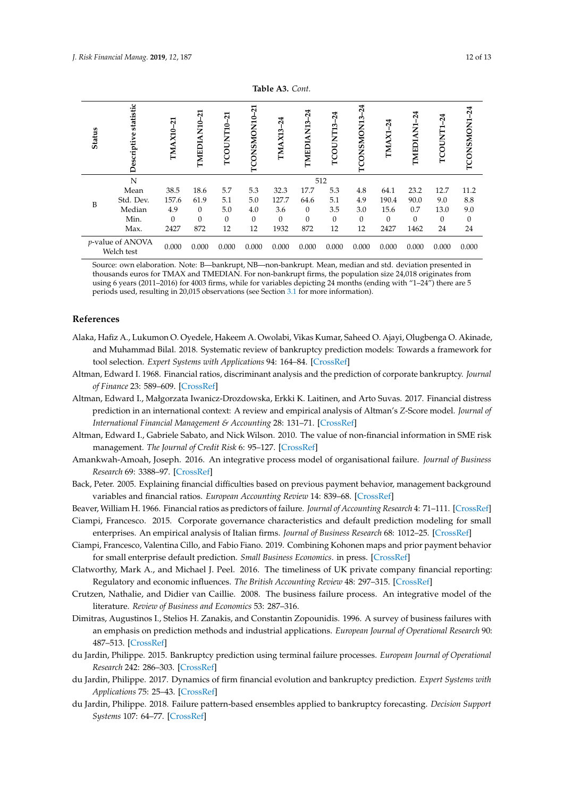<span id="page-11-15"></span>

| <b>Status</b> | statistic<br>Descriptive               | ង<br>TMAX10- | ដុ<br>TMEDIAN10 | ដុ<br>TCOUNT10 | ↽<br>Ņ<br>TCONSMON10 | 24<br>TMAX13 | $\frac{54}{3}$<br>TMEDIAN13 | ₩<br>Ņ<br>TCOUNT13 | 24<br>TCONSMON13 | ₩<br>Ń<br>Ĕ | $-24$<br>TMEDIAN1- | $^{24}$<br><b>TCOUNT1</b> | TCONSMON1-24 |
|---------------|----------------------------------------|--------------|-----------------|----------------|----------------------|--------------|-----------------------------|--------------------|------------------|-------------|--------------------|---------------------------|--------------|
|               | N                                      |              |                 |                | 512                  |              |                             |                    |                  |             |                    |                           |              |
|               | Mean                                   | 38.5         | 18.6            | 5.7            | 5.3                  | 32.3         | 17.7                        | 5.3                | 4.8              | 64.1        | 23.2               | 12.7                      | 11.2         |
| B             | Std. Dev.                              | 157.6        | 61.9            | 5.1            | 5.0                  | 127.7        | 64.6                        | 5.1                | 4.9              | 190.4       | 90.0               | 9.0                       | 8.8          |
|               | Median                                 | 4.9          | $\theta$        | 5.0            | 4.0                  | 3.6          | $\mathbf{0}$                | 3.5                | 3.0              | 15.6        | 0.7                | 13.0                      | 9.0          |
|               | Min.                                   | $\Omega$     | $\Omega$        | $\theta$       | $\theta$             | $\Omega$     | $\mathbf{0}$                | $\theta$           | $\theta$         | $\theta$    | $\theta$           | $\Omega$                  | $\mathbf{0}$ |
|               | Max.                                   | 2427         | 872             | 12             | 12                   | 1932         | 872                         | 12                 | 12               | 2427        | 1462               | 24                        | 24           |
|               | <i>p</i> -value of ANOVA<br>Welch test | 0.000        | 0.000           | 0.000          | 0.000                | 0.000        | 0.000                       | 0.000              | 0.000            | 0.000       | 0.000              | 0.000                     | 0.000        |

**Table A3.** *Cont.*

Source: own elaboration. Note: B—bankrupt, NB—non-bankrupt. Mean, median and std. deviation presented in thousands euros for TMAX and TMEDIAN. For non-bankrupt firms, the population size 24,018 originates from using 6 years (2011–2016) for 4003 firms, while for variables depicting 24 months (ending with "1–24") there are 5 periods used, resulting in 20,015 observations (see Section [3.1](#page-3-0) for more information).

# **References**

- <span id="page-11-1"></span>Alaka, Hafiz A., Lukumon O. Oyedele, Hakeem A. Owolabi, Vikas Kumar, Saheed O. Ajayi, Olugbenga O. Akinade, and Muhammad Bilal. 2018. Systematic review of bankruptcy prediction models: Towards a framework for tool selection. *Expert Systems with Applications* 94: 164–84. [\[CrossRef\]](http://dx.doi.org/10.1016/j.eswa.2017.10.040)
- <span id="page-11-0"></span>Altman, Edward I. 1968. Financial ratios, discriminant analysis and the prediction of corporate bankruptcy. *Journal of Finance* 23: 589–609. [\[CrossRef\]](http://dx.doi.org/10.1111/j.1540-6261.1968.tb00843.x)
- <span id="page-11-12"></span>Altman, Edward I., Małgorzata Iwanicz-Drozdowska, Erkki K. Laitinen, and Arto Suvas. 2017. Financial distress prediction in an international context: A review and empirical analysis of Altman's *Z*-Score model. *Journal of International Financial Management & Accounting* 28: 131–71. [\[CrossRef\]](http://dx.doi.org/10.1111/jifm.12053)
- <span id="page-11-3"></span>Altman, Edward I., Gabriele Sabato, and Nick Wilson. 2010. The value of non-financial information in SME risk management. *The Journal of Credit Risk* 6: 95–127. [\[CrossRef\]](http://dx.doi.org/10.21314/JCR.2010.110)
- <span id="page-11-9"></span>Amankwah-Amoah, Joseph. 2016. An integrative process model of organisational failure. *Journal of Business Research* 69: 3388–97. [\[CrossRef\]](http://dx.doi.org/10.1016/j.jbusres.2016.02.005)
- <span id="page-11-5"></span>Back, Peter. 2005. Explaining financial difficulties based on previous payment behavior, management background variables and financial ratios. *European Accounting Review* 14: 839–68. [\[CrossRef\]](http://dx.doi.org/10.1080/09638180500141339)

<span id="page-11-11"></span>Beaver, William H. 1966. Financial ratios as predictors of failure. *Journal of Accounting Research* 4: 71–111. [\[CrossRef\]](http://dx.doi.org/10.2307/2490171)

- <span id="page-11-6"></span>Ciampi, Francesco. 2015. Corporate governance characteristics and default prediction modeling for small enterprises. An empirical analysis of Italian firms. *Journal of Business Research* 68: 1012–25. [\[CrossRef\]](http://dx.doi.org/10.1016/j.jbusres.2014.10.003)
- <span id="page-11-7"></span>Ciampi, Francesco, Valentina Cillo, and Fabio Fiano. 2019. Combining Kohonen maps and prior payment behavior for small enterprise default prediction. *Small Business Economics*. in press. [\[CrossRef\]](http://dx.doi.org/10.1007/s11187-018-0117-2)
- <span id="page-11-2"></span>Clatworthy, Mark A., and Michael J. Peel. 2016. The timeliness of UK private company financial reporting: Regulatory and economic influences. *The British Accounting Review* 48: 297–315. [\[CrossRef\]](http://dx.doi.org/10.1016/j.bar.2016.05.001)
- <span id="page-11-8"></span>Crutzen, Nathalie, and Didier van Caillie. 2008. The business failure process. An integrative model of the literature. *Review of Business and Economics* 53: 287–316.
- <span id="page-11-10"></span>Dimitras, Augustinos I., Stelios H. Zanakis, and Constantin Zopounidis. 1996. A survey of business failures with an emphasis on prediction methods and industrial applications. *European Journal of Operational Research* 90: 487–513. [\[CrossRef\]](http://dx.doi.org/10.1016/0377-2217(95)00070-4)
- <span id="page-11-13"></span>du Jardin, Philippe. 2015. Bankruptcy prediction using terminal failure processes. *European Journal of Operational Research* 242: 286–303. [\[CrossRef\]](http://dx.doi.org/10.1016/j.ejor.2014.09.059)
- <span id="page-11-4"></span>du Jardin, Philippe. 2017. Dynamics of firm financial evolution and bankruptcy prediction. *Expert Systems with Applications* 75: 25–43. [\[CrossRef\]](http://dx.doi.org/10.1016/j.eswa.2017.01.016)
- <span id="page-11-14"></span>du Jardin, Philippe. 2018. Failure pattern-based ensembles applied to bankruptcy forecasting. *Decision Support Systems* 107: 64–77. [\[CrossRef\]](http://dx.doi.org/10.1016/j.dss.2018.01.003)